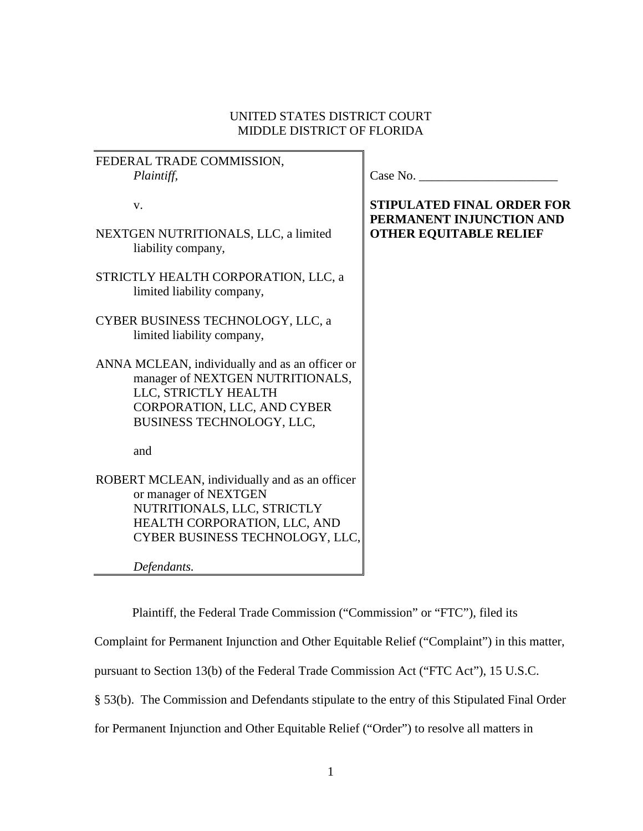## UNITED STATES DISTRICT COURT MIDDLE DISTRICT OF FLORIDA

| FEDERAL TRADE COMMISSION,                                                          |                                                               |
|------------------------------------------------------------------------------------|---------------------------------------------------------------|
| Plaintiff,                                                                         | Case No.                                                      |
| V.                                                                                 | <b>STIPULATED FINAL ORDER FOR</b><br>PERMANENT INJUNCTION AND |
| NEXTGEN NUTRITIONALS, LLC, a limited<br>liability company,                         | <b>OTHER EQUITABLE RELIEF</b>                                 |
| STRICTLY HEALTH CORPORATION, LLC, a<br>limited liability company,                  |                                                               |
| CYBER BUSINESS TECHNOLOGY, LLC, a<br>limited liability company,                    |                                                               |
| ANNA MCLEAN, individually and as an officer or<br>manager of NEXTGEN NUTRITIONALS, |                                                               |
| LLC, STRICTLY HEALTH                                                               |                                                               |
| CORPORATION, LLC, AND CYBER                                                        |                                                               |
| BUSINESS TECHNOLOGY, LLC,                                                          |                                                               |
| and                                                                                |                                                               |
| ROBERT MCLEAN, individually and as an officer                                      |                                                               |
| or manager of NEXTGEN                                                              |                                                               |
| NUTRITIONALS, LLC, STRICTLY                                                        |                                                               |
| HEALTH CORPORATION, LLC, AND                                                       |                                                               |
| CYBER BUSINESS TECHNOLOGY, LLC,                                                    |                                                               |
| Defendants.                                                                        |                                                               |

Plaintiff, the Federal Trade Commission ("Commission" or "FTC"), filed its

Complaint for Permanent Injunction and Other Equitable Relief ("Complaint") in this matter,

pursuant to Section 13(b) of the Federal Trade Commission Act ("FTC Act"), 15 U.S.C.

§ 53(b). The Commission and Defendants stipulate to the entry of this Stipulated Final Order

for Permanent Injunction and Other Equitable Relief ("Order") to resolve all matters in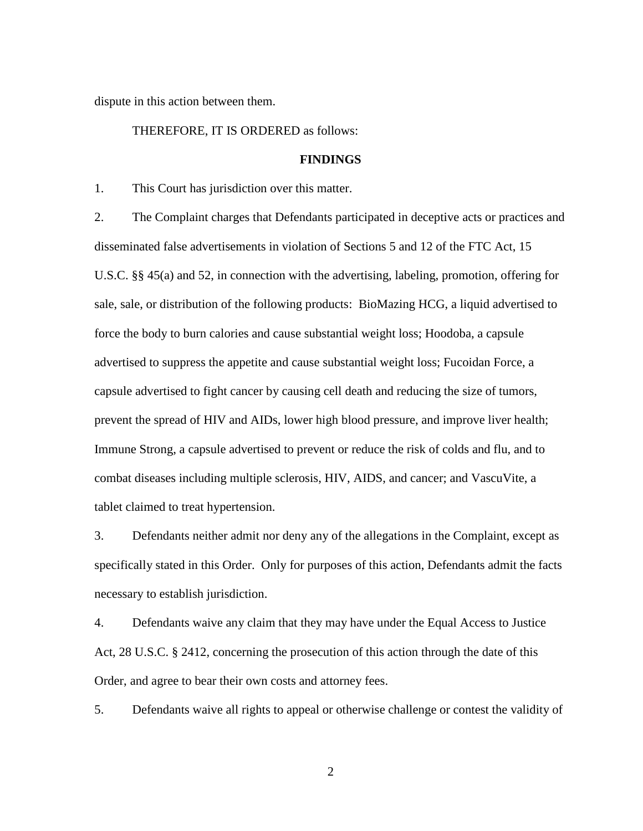dispute in this action between them.

#### THEREFORE, IT IS ORDERED as follows:

### **FINDINGS**

1. This Court has jurisdiction over this matter.

 sale, sale, or distribution of the following products: BioMazing HCG, a liquid advertised to capsule advertised to fight cancer by causing cell death and reducing the size of tumors, prevent the spread of HIV and AIDs, lower high blood pressure, and improve liver health; 2. The Complaint charges that Defendants participated in deceptive acts or practices and disseminated false advertisements in violation of Sections 5 and 12 of the FTC Act, 15 U.S.C. §§ 45(a) and 52, in connection with the advertising, labeling, promotion, offering for force the body to burn calories and cause substantial weight loss; Hoodoba, a capsule advertised to suppress the appetite and cause substantial weight loss; Fucoidan Force, a Immune Strong, a capsule advertised to prevent or reduce the risk of colds and flu, and to combat diseases including multiple sclerosis, HIV, AIDS, and cancer; and VascuVite, a tablet claimed to treat hypertension.

 3. Defendants neither admit nor deny any of the allegations in the Complaint, except as specifically stated in this Order. Only for purposes of this action, Defendants admit the facts necessary to establish jurisdiction.

 Order, and agree to bear their own costs and attorney fees. 4. Defendants waive any claim that they may have under the Equal Access to Justice Act, 28 U.S.C. § 2412, concerning the prosecution of this action through the date of this

5. Defendants waive all rights to appeal or otherwise challenge or contest the validity of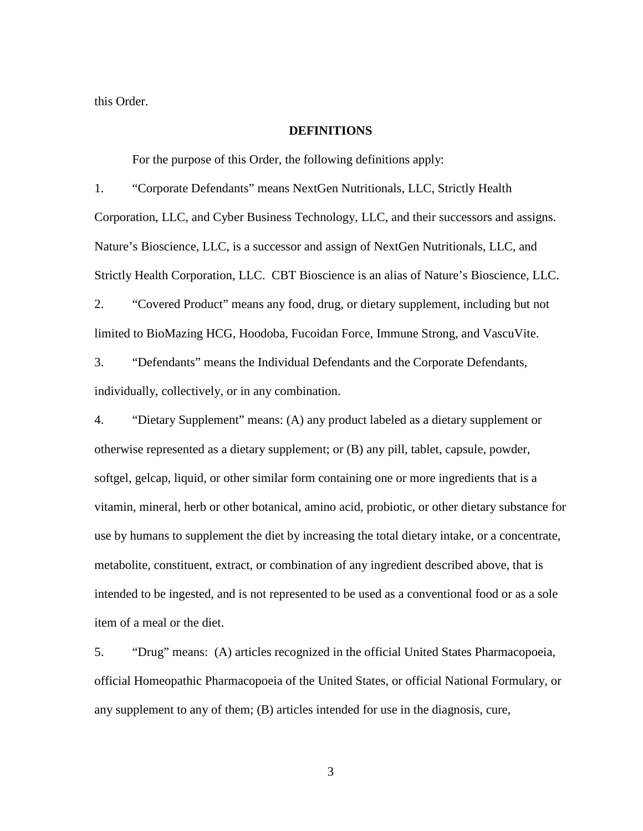this Order.

#### **DEFINITIONS**

For the purpose of this Order, the following definitions apply:

 1. "Corporate Defendants" means NextGen Nutritionals, LLC, Strictly Health Corporation, LLC, and Cyber Business Technology, LLC, and their successors and assigns. Strictly Health Corporation, LLC. CBT Bioscience is an alias of Nature's Bioscience, LLC. Nature's Bioscience, LLC, is a successor and assign of NextGen Nutritionals, LLC, and

 2. "Covered Product" means any food, drug, or dietary supplement, including but not limited to BioMazing HCG, Hoodoba, Fucoidan Force, Immune Strong, and VascuVite.

3. "Defendants" means the Individual Defendants and the Corporate Defendants, individually, collectively, or in any combination.

 otherwise represented as a dietary supplement; or (B) any pill, tablet, capsule, powder, vitamin, mineral, herb or other botanical, amino acid, probiotic, or other dietary substance for 4. "Dietary Supplement" means: (A) any product labeled as a dietary supplement or softgel, gelcap, liquid, or other similar form containing one or more ingredients that is a use by humans to supplement the diet by increasing the total dietary intake, or a concentrate, metabolite, constituent, extract, or combination of any ingredient described above, that is intended to be ingested, and is not represented to be used as a conventional food or as a sole item of a meal or the diet.

5. "Drug" means: (A) articles recognized in the official United States Pharmacopoeia, official Homeopathic Pharmacopoeia of the United States, or official National Formulary, or any supplement to any of them; (B) articles intended for use in the diagnosis, cure,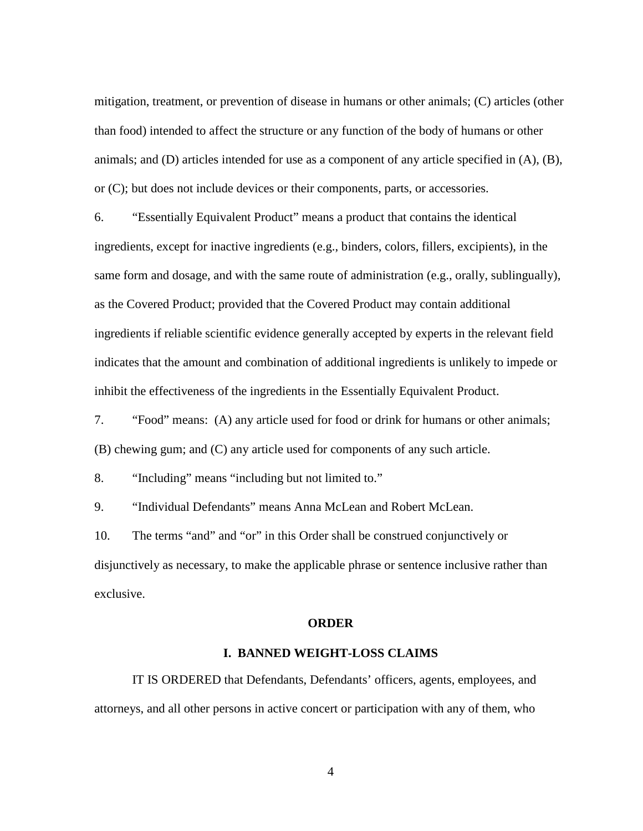<span id="page-3-0"></span>mitigation, treatment, or prevention of disease in humans or other animals; (C) articles (other than food) intended to affect the structure or any function of the body of humans or other animals; and (D) articles intended for use as a component of any article specified in (A), (B), or (C); but does not include devices or their components, parts, or accessories.

6. "Essentially Equivalent Product" means a product that contains the identical ingredients, except for inactive ingredients (e.g., binders, colors, fillers, excipients), in the same form and dosage, and with the same route of administration (e.g., orally, sublingually), as the Covered Product; provided that the Covered Product may contain additional ingredients if reliable scientific evidence generally accepted by experts in the relevant field indicates that the amount and combination of additional ingredients is unlikely to impede or inhibit the effectiveness of the ingredients in the Essentially Equivalent Product.

 7. "Food" means: (A) any article used for food or drink for humans or other animals; (B) chewing gum; and (C) any article used for components of any such article.

8. "Including" means "including but not limited to."

9. "Individual Defendants" means Anna McLean and Robert McLean.

10. The terms "and" and "or" in this Order shall be construed conjunctively or disjunctively as necessary, to make the applicable phrase or sentence inclusive rather than exclusive.

#### **ORDER**

### **I. BANNED WEIGHT-LOSS CLAIMS**

IT IS ORDERED that Defendants, Defendants' officers, agents, employees, and attorneys, and all other persons in active concert or participation with any of them, who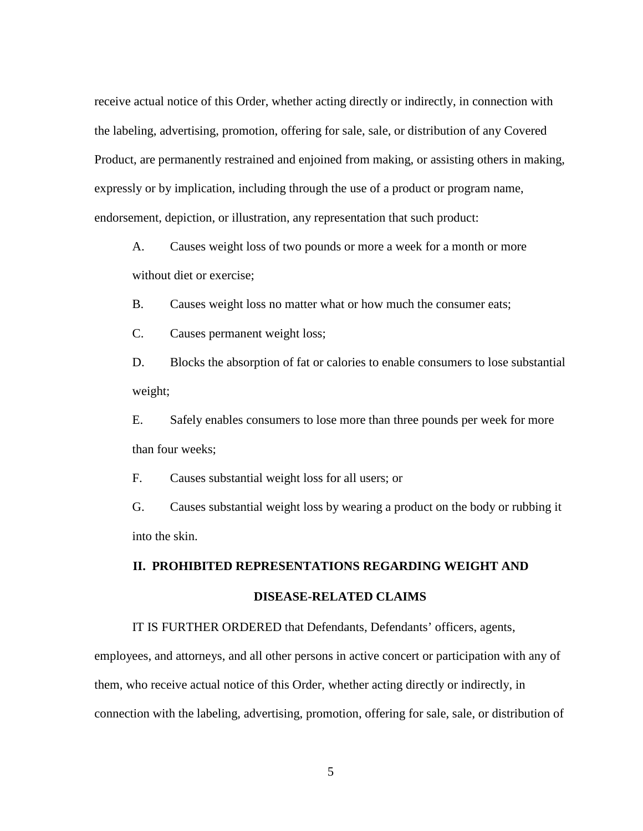Product, are permanently restrained and enjoined from making, or assisting others in making, endorsement, depiction, or illustration, any representation that such product:<br>A. Causes weight loss of two pounds or more a week for a month or more receive actual notice of this Order, whether acting directly or indirectly, in connection with the labeling, advertising, promotion, offering for sale, sale, or distribution of any Covered expressly or by implication, including through the use of a product or program name,

without diet or exercise;

B. Causes weight loss no matter what or how much the consumer eats;

C. Causes permanent weight loss;

D. Blocks the absorption of fat or calories to enable consumers to lose substantial weight;

 $E.$ than four weeks; Safely enables consumers to lose more than three pounds per week for more

F. Causes substantial weight loss for all users; or

G. Causes substantial weight loss by wearing a product on the body or rubbing it into the skin.

# **II. PROHIBITED REPRESENTATIONS REGARDING WEIGHT AND DISEASE-RELATED CLAIMS**

IT IS FURTHER ORDERED that Defendants, Defendants' officers, agents,

employees, and attorneys, and all other persons in active concert or participation with any of them, who receive actual notice of this Order, whether acting directly or indirectly, in connection with the labeling, advertising, promotion, offering for sale, sale, or distribution of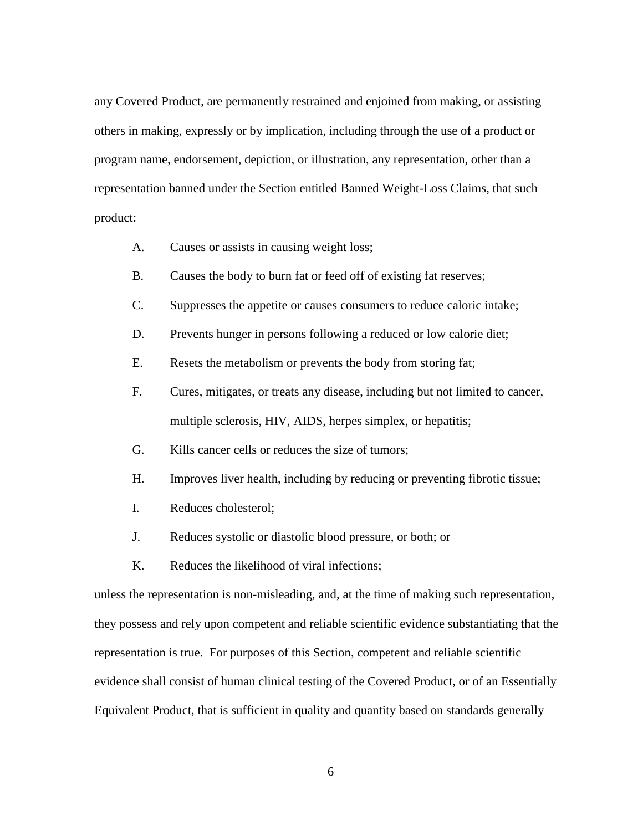others in making, expressly or by implication, including through the use of a product or representation banned under the Section entitled Banned Weight-Loss Claims, that such any Covered Product, are permanently restrained and enjoined from making, or assisting program name, endorsement, depiction, or illustration, any representation, other than a product:

- Causes or assists in causing weight loss;
- A. Causes or assists in causing weight loss;<br>B. Causes the body to burn fat or feed off of existing fat reserves;
- C. Suppresses the appetite or causes consumers to reduce caloric intake;
- D. Prevents hunger in persons following a reduced or low calorie diet;
- E. Resets the metabolism or prevents the body from storing fat;
- multiple sclerosis, HIV, AIDS, herpes simplex, or hepatitis; F. Cures, mitigates, or treats any disease, including but not limited to cancer,
- G. Kills cancer cells or reduces the size of tumors;
- H. Improves liver health, including by reducing or preventing fibrotic tissue;<br>I. Reduces cholesterol;
- 
- J. Reduces systolic or diastolic blood pressure, or both; or
- K. Reduces the likelihood of viral infections;

unless the representation is non-misleading, and, at the time of making such representation, they possess and rely upon competent and reliable scientific evidence substantiating that the representation is true. For purposes of this Section, competent and reliable scientific evidence shall consist of human clinical testing of the Covered Product, or of an Essentially Equivalent Product, that is sufficient in quality and quantity based on standards generally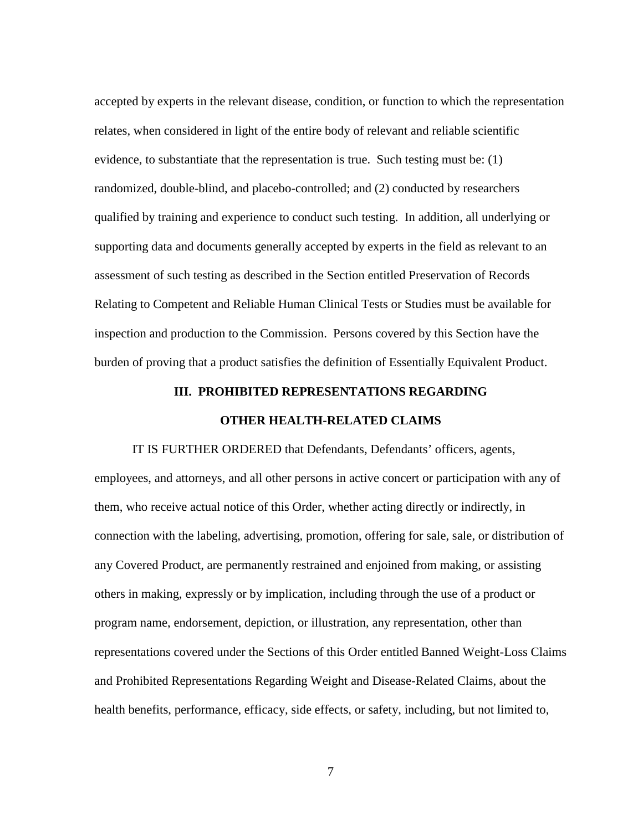assessment of such testing as described in the Section entitled Preservation of Records Relating to Competent and Reliable Human Clinical Tests or Studies must be available for accepted by experts in the relevant disease, condition, or function to which the representation relates, when considered in light of the entire body of relevant and reliable scientific evidence, to substantiate that the representation is true. Such testing must be: (1) randomized, double-blind, and placebo-controlled; and (2) conducted by researchers qualified by training and experience to conduct such testing. In addition, all underlying or supporting data and documents generally accepted by experts in the field as relevant to an inspection and production to the Commission. Persons covered by this Section have the burden of proving that a product satisfies the definition of Essentially Equivalent Product.

# **III. PROHIBITED REPRESENTATIONS REGARDING OTHER HEALTH-RELATED CLAIMS**

 IT IS FURTHER ORDERED that Defendants, Defendants' officers, agents, others in making, expressly or by implication, including through the use of a product or employees, and attorneys, and all other persons in active concert or participation with any of them, who receive actual notice of this Order, whether acting directly or indirectly, in connection with the labeling, advertising, promotion, offering for sale, sale, or distribution of any Covered Product, are permanently restrained and enjoined from making, or assisting program name, endorsement, depiction, or illustration, any representation, other than representations covered under the Sections of this Order entitled Banned Weight-Loss Claims and Prohibited Representations Regarding Weight and Disease-Related Claims, about the health benefits, performance, efficacy, side effects, or safety, including, but not limited to,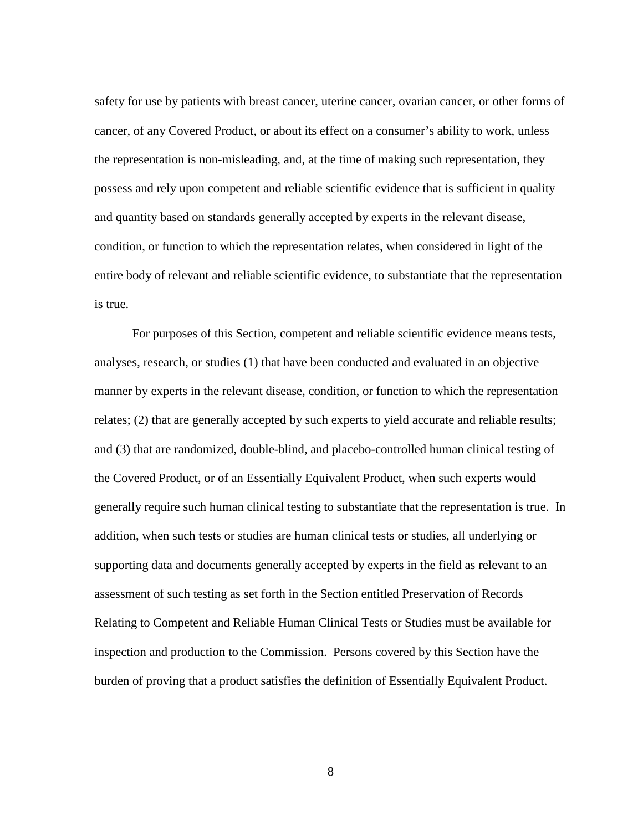cancer, of any Covered Product, or about its effect on a consumer's ability to work, unless safety for use by patients with breast cancer, uterine cancer, ovarian cancer, or other forms of the representation is non-misleading, and, at the time of making such representation, they possess and rely upon competent and reliable scientific evidence that is sufficient in quality and quantity based on standards generally accepted by experts in the relevant disease, condition, or function to which the representation relates, when considered in light of the entire body of relevant and reliable scientific evidence, to substantiate that the representation is true.

 relates; (2) that are generally accepted by such experts to yield accurate and reliable results; generally require such human clinical testing to substantiate that the representation is true. In Relating to Competent and Reliable Human Clinical Tests or Studies must be available for For purposes of this Section, competent and reliable scientific evidence means tests, analyses, research, or studies (1) that have been conducted and evaluated in an objective manner by experts in the relevant disease, condition, or function to which the representation and (3) that are randomized, double-blind, and placebo-controlled human clinical testing of the Covered Product, or of an Essentially Equivalent Product, when such experts would addition, when such tests or studies are human clinical tests or studies, all underlying or supporting data and documents generally accepted by experts in the field as relevant to an assessment of such testing as set forth in the Section entitled Preservation of Records inspection and production to the Commission. Persons covered by this Section have the burden of proving that a product satisfies the definition of Essentially Equivalent Product.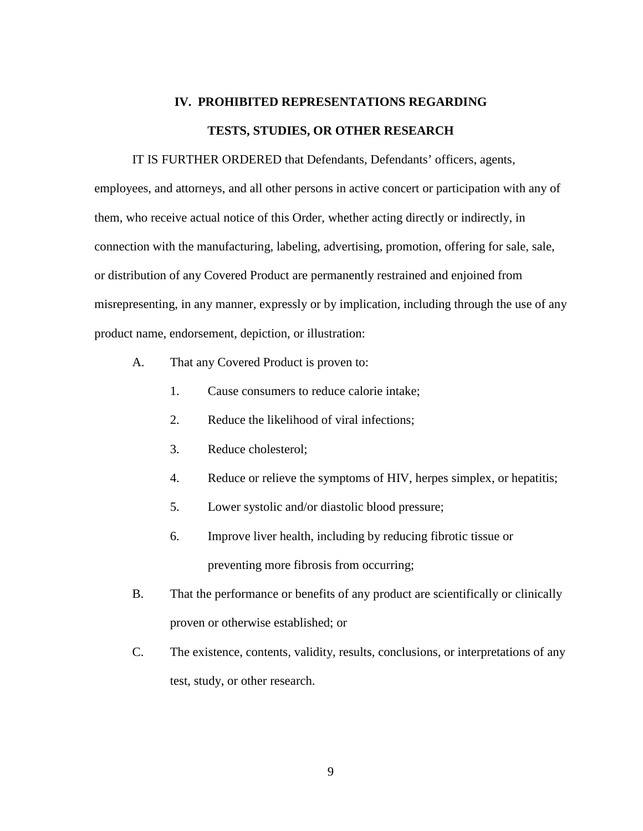# **IV. PROHIBITED REPRESENTATIONS REGARDING TESTS, STUDIES, OR OTHER RESEARCH**

 IT IS FURTHER ORDERED that Defendants, Defendants' officers, agents, employees, and attorneys, and all other persons in active concert or participation with any of them, who receive actual notice of this Order, whether acting directly or indirectly, in connection with the manufacturing, labeling, advertising, promotion, offering for sale, sale, or distribution of any Covered Product are permanently restrained and enjoined from misrepresenting, in any manner, expressly or by implication, including through the use of any product name, endorsement, depiction, or illustration:

- A. That any Covered Product is proven to:
	-
	- 1. Cause consumers to reduce calorie intake;<br>2. Reduce the likelihood of viral infections;
	- 3. Reduce cholesterol;
	- 4. Reduce or relieve the symptoms of HIV, herpes simplex, or hepatitis;
	- 5. Lower systolic and/or diastolic blood pressure;
	- 6. Improve liver health, including by reducing fibrotic tissue or preventing more fibrosis from occurring;
- proven or otherwise established; or B. That the performance or benefits of any product are scientifically or clinically
- C. The existence, contents, validity, results, conclusions, or interpretations of any test, study, or other research.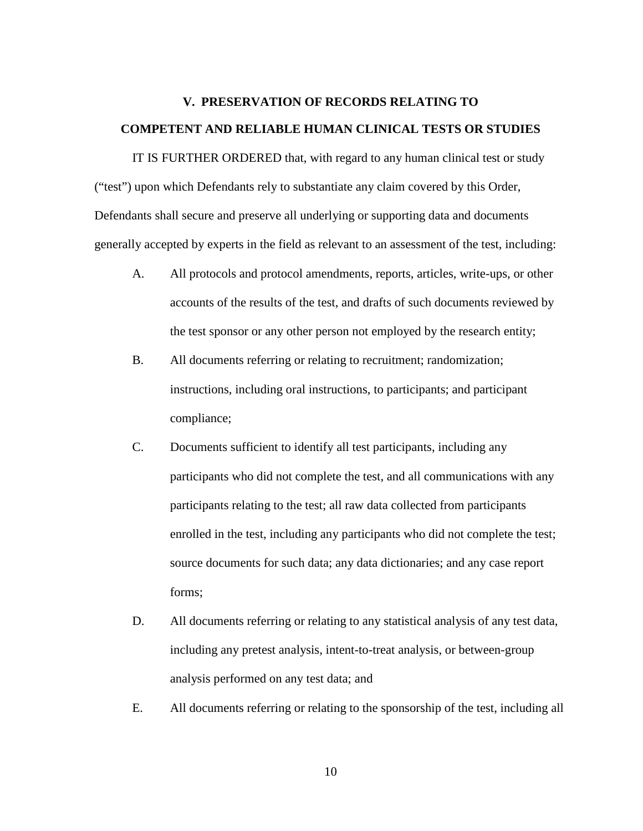## **V. PRESERVATION OF RECORDS RELATING TO COMPETENT AND RELIABLE HUMAN CLINICAL TESTS OR STUDIES**

 IT IS FURTHER ORDERED that, with regard to any human clinical test or study ("test") upon which Defendants rely to substantiate any claim covered by this Order, Defendants shall secure and preserve all underlying or supporting data and documents generally accepted by experts in the field as relevant to an assessment of the test, including:

- A. All protocols and protocol amendments, reports, articles, write-ups, or other accounts of the results of the test, and drafts of such documents reviewed by the test sponsor or any other person not employed by the research entity;
- B. All documents referring or relating to recruitment; randomization; instructions, including oral instructions, to participants; and participant compliance;
- participants who did not complete the test, and all communications with any C. Documents sufficient to identify all test participants, including any participants relating to the test; all raw data collected from participants enrolled in the test, including any participants who did not complete the test; source documents for such data; any data dictionaries; and any case report forms;
- analysis performed on any test data; and D. All documents referring or relating to any statistical analysis of any test data, including any pretest analysis, intent-to-treat analysis, or between-group
- E. All documents referring or relating to the sponsorship of the test, including all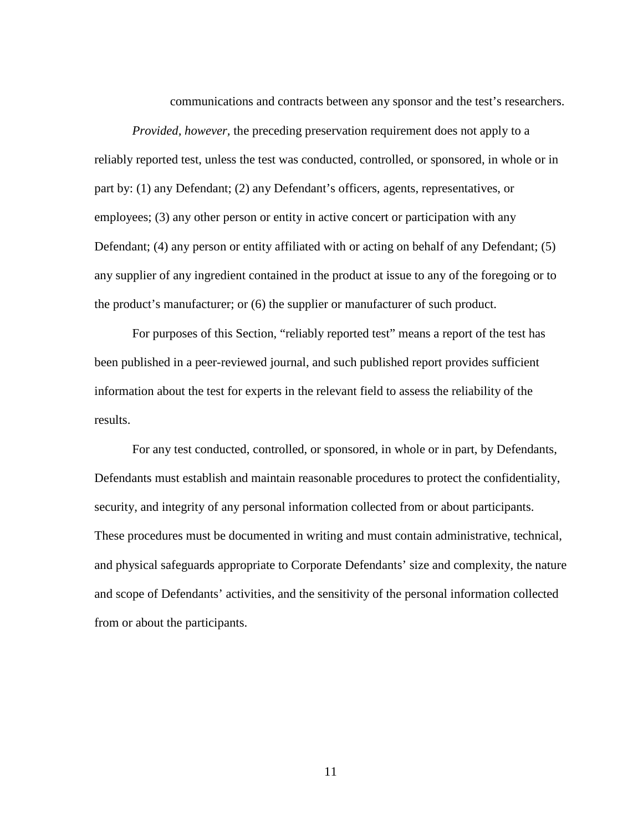communications and contracts between any sponsor and the test's researchers.

 part by: (1) any Defendant; (2) any Defendant's officers, agents, representatives, or *Provided, however,* the preceding preservation requirement does not apply to a reliably reported test, unless the test was conducted, controlled, or sponsored, in whole or in employees; (3) any other person or entity in active concert or participation with any Defendant; (4) any person or entity affiliated with or acting on behalf of any Defendant; (5) any supplier of any ingredient contained in the product at issue to any of the foregoing or to the product's manufacturer; or (6) the supplier or manufacturer of such product.

For purposes of this Section, "reliably reported test" means a report of the test has been published in a peer-reviewed journal, and such published report provides sufficient information about the test for experts in the relevant field to assess the reliability of the results.

For any test conducted, controlled, or sponsored, in whole or in part, by Defendants, Defendants must establish and maintain reasonable procedures to protect the confidentiality, security, and integrity of any personal information collected from or about participants. These procedures must be documented in writing and must contain administrative, technical, and physical safeguards appropriate to Corporate Defendants' size and complexity, the nature and scope of Defendants' activities, and the sensitivity of the personal information collected from or about the participants.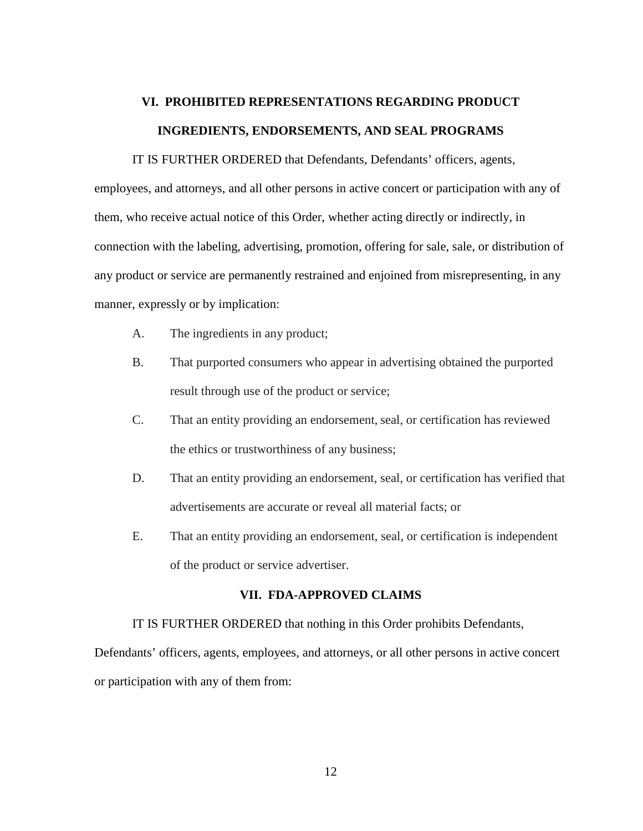# **VI. PROHIBITED REPRESENTATIONS REGARDING PRODUCT INGREDIENTS, ENDORSEMENTS, AND SEAL PROGRAMS**

 IT IS FURTHER ORDERED that Defendants, Defendants' officers, agents, any product or service are permanently restrained and enjoined from misrepresenting, in any employees, and attorneys, and all other persons in active concert or participation with any of them, who receive actual notice of this Order, whether acting directly or indirectly, in connection with the labeling, advertising, promotion, offering for sale, sale, or distribution of manner, expressly or by implication:

- A. The ingredients in any product;
- result through use of the product or service; B. That purported consumers who appear in advertising obtained the purported
- C. That an entity providing an endorsement, seal, or certification has reviewed the ethics or trustworthiness of any business;
- D. That an entity providing an endorsement, seal, or certification has verified that advertisements are accurate or reveal all material facts; or
- E. That an entity providing an endorsement, seal, or certification is independent of the product or service advertiser.

### **VII. FDA-APPROVED CLAIMS**

### IT IS FURTHER ORDERED that nothing in this Order prohibits Defendants,

Defendants' officers, agents, employees, and attorneys, or all other persons in active concert or participation with any of them from: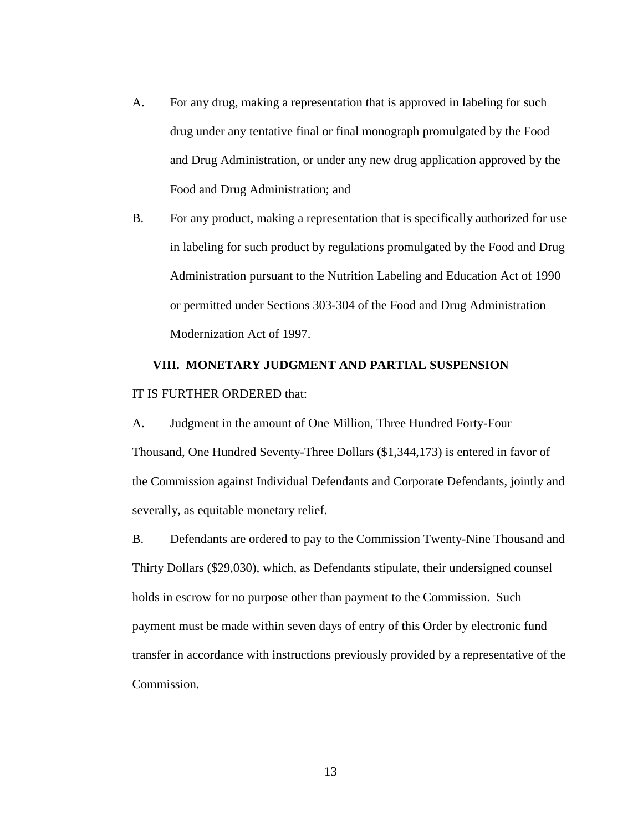- drug under any tentative final or final monograph promulgated by the Food A. For any drug, making a representation that is approved in labeling for such and Drug Administration, or under any new drug application approved by the Food and Drug Administration; and
- B. For any product, making a representation that is specifically authorized for use in labeling for such product by regulations promulgated by the Food and Drug Administration pursuant to the Nutrition Labeling and Education Act of 1990 or permitted under Sections 303-304 of the Food and Drug Administration Modernization Act of 1997.

# IT IS FURTHER ORDERED that: **VIII. MONETARY JUDGMENT AND PARTIAL SUSPENSION**

 the Commission against Individual Defendants and Corporate Defendants, jointly and A. Judgment in the amount of One Million, Three Hundred Forty-Four Thousand, One Hundred Seventy-Three Dollars (\$1,344,173) is entered in favor of severally, as equitable monetary relief.

B. Defendants are ordered to pay to the Commission Twenty-Nine Thousand and Thirty Dollars (\$29,030), which, as Defendants stipulate, their undersigned counsel holds in escrow for no purpose other than payment to the Commission. Such payment must be made within seven days of entry of this Order by electronic fund transfer in accordance with instructions previously provided by a representative of the Commission.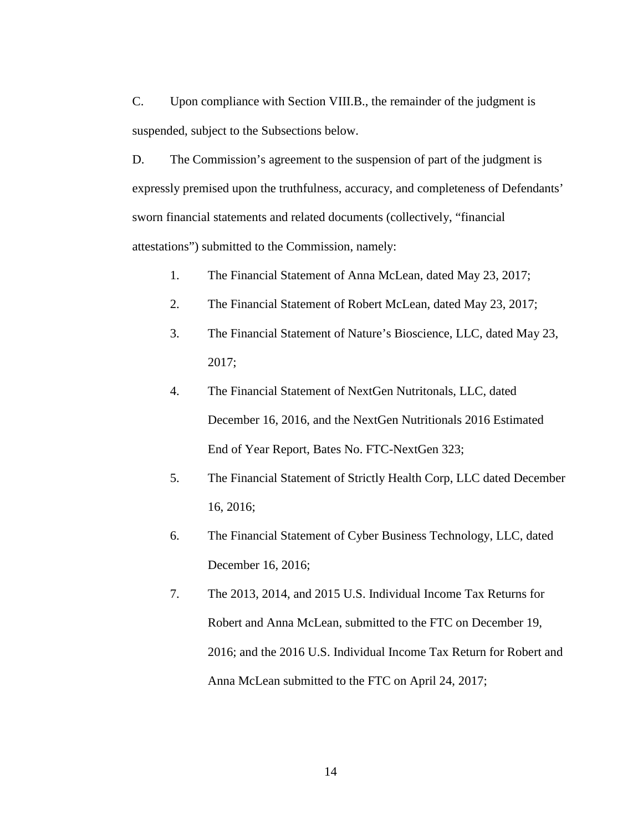C. Upon compliance with Section VIII.B., the remainder of the judgment is suspended, subject to the Subsections below.

D. The Commission's agreement to the suspension of part of the judgment is expressly premised upon the truthfulness, accuracy, and completeness of Defendants' sworn financial statements and related documents (collectively, "financial attestations") submitted to the Commission, namely:

- 1. The Financial Statement of Anna McLean, dated May 23, 2017;
- 2. The Financial Statement of Robert McLean, dated May 23, 2017;
- 3. The Financial Statement of Nature's Bioscience, LLC, dated May 23, 2017;
- 4. The Financial Statement of NextGen Nutritonals, LLC, dated December 16, 2016, and the NextGen Nutritionals 2016 Estimated End of Year Report, Bates No. FTC-NextGen 323;
- 5. The Financial Statement of Strictly Health Corp, LLC dated December 16, 2016;
- December 16, 2016; 6. The Financial Statement of Cyber Business Technology, LLC, dated
- 7. The 2013, 2014, and 2015 U.S. Individual Income Tax Returns for Robert and Anna McLean, submitted to the FTC on December 19, 2016; and the 2016 U.S. Individual Income Tax Return for Robert and Anna McLean submitted to the FTC on April 24, 2017;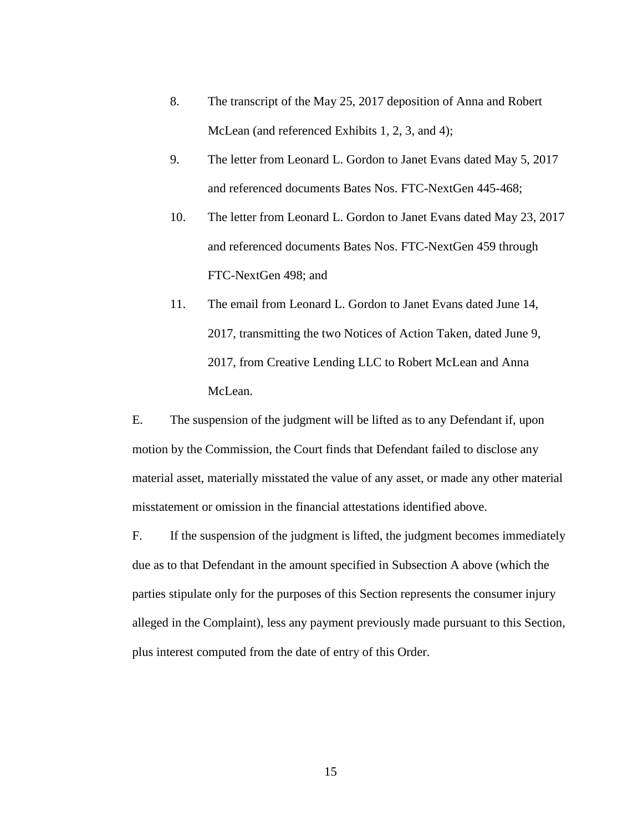- 8. The transcript of the May 25, 2017 deposition of Anna and Robert McLean (and referenced Exhibits 1, 2, 3, and 4);
- 9. The letter from Leonard L. Gordon to Janet Evans dated May 5, 2017 and referenced documents Bates Nos. FTC-NextGen 445-468;
- FTC-NextGen 498; and 10. The letter from Leonard L. Gordon to Janet Evans dated May 23, 2017 and referenced documents Bates Nos. FTC-NextGen 459 through
- 2017, from Creative Lending LLC to Robert McLean and Anna 11. The email from Leonard L. Gordon to Janet Evans dated June 14, 2017, transmitting the two Notices of Action Taken, dated June 9, McLean.

E. The suspension of the judgment will be lifted as to any Defendant if, upon motion by the Commission, the Court finds that Defendant failed to disclose any material asset, materially misstated the value of any asset, or made any other material misstatement or omission in the financial attestations identified above.

 parties stipulate only for the purposes of this Section represents the consumer injury F. If the suspension of the judgment is lifted, the judgment becomes immediately due as to that Defendant in the amount specified in Subsection A above (which the alleged in the Complaint), less any payment previously made pursuant to this Section, plus interest computed from the date of entry of this Order.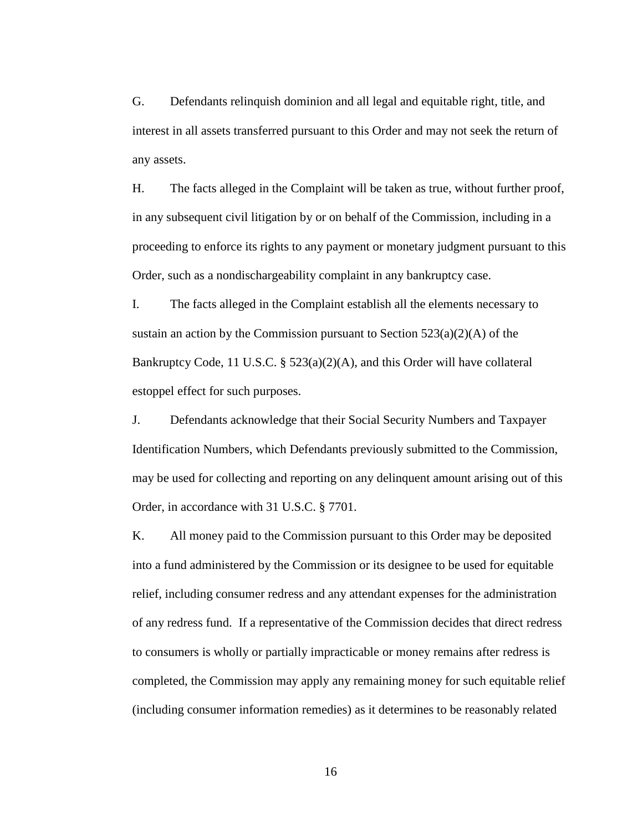interest in all assets transferred pursuant to this Order and may not seek the return of G. Defendants relinquish dominion and all legal and equitable right, title, and any assets.

 Order, such as a nondischargeability complaint in any bankruptcy case. H. The facts alleged in the Complaint will be taken as true, without further proof, in any subsequent civil litigation by or on behalf of the Commission, including in a proceeding to enforce its rights to any payment or monetary judgment pursuant to this

I. The facts alleged in the Complaint establish all the elements necessary to sustain an action by the Commission pursuant to Section  $523(a)(2)(A)$  of the Bankruptcy Code, 11 U.S.C. § 523(a)(2)(A), and this Order will have collateral estoppel effect for such purposes.

 may be used for collecting and reporting on any delinquent amount arising out of this J. Defendants acknowledge that their Social Security Numbers and Taxpayer Identification Numbers, which Defendants previously submitted to the Commission, Order, in accordance with 31 U.S.C. § 7701.

 to consumers is wholly or partially impracticable or money remains after redress is completed, the Commission may apply any remaining money for such equitable relief (including consumer information remedies) as it determines to be reasonably related K. All money paid to the Commission pursuant to this Order may be deposited into a fund administered by the Commission or its designee to be used for equitable relief, including consumer redress and any attendant expenses for the administration of any redress fund. If a representative of the Commission decides that direct redress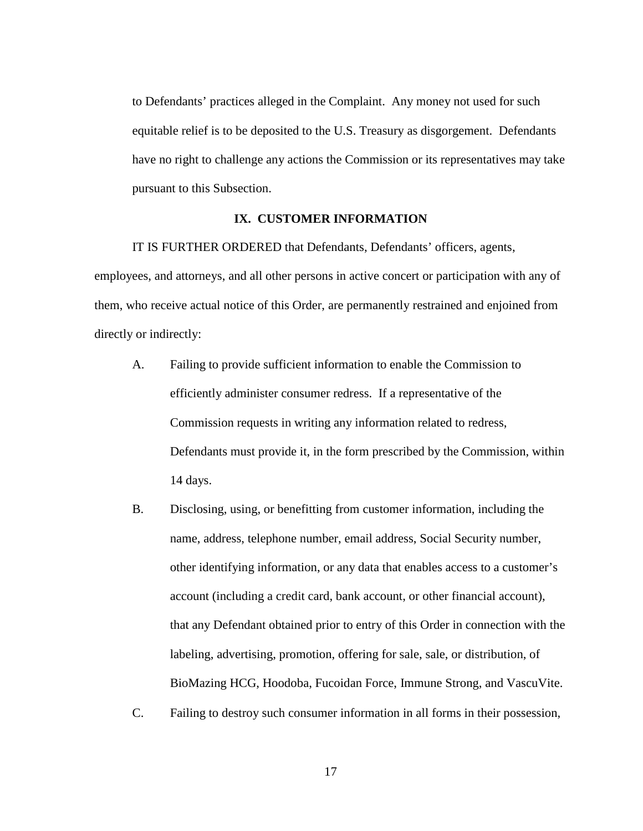to Defendants' practices alleged in the Complaint. Any money not used for such equitable relief is to be deposited to the U.S. Treasury as disgorgement. Defendants have no right to challenge any actions the Commission or its representatives may take pursuant to this Subsection.

### **IX. CUSTOMER INFORMATION**

IT IS FURTHER ORDERED that Defendants, Defendants' officers, agents, employees, and attorneys, and all other persons in active concert or participation with any of them, who receive actual notice of this Order, are permanently restrained and enjoined from directly or indirectly:

- efficiently administer consumer redress. If a representative of the A. Failing to provide sufficient information to enable the Commission to Commission requests in writing any information related to redress, Defendants must provide it, in the form prescribed by the Commission, within 14 days.
- B. Disclosing, using, or benefitting from customer information, including the name, address, telephone number, email address, Social Security number, other identifying information, or any data that enables access to a customer's account (including a credit card, bank account, or other financial account), that any Defendant obtained prior to entry of this Order in connection with the labeling, advertising, promotion, offering for sale, sale, or distribution, of BioMazing HCG, Hoodoba, Fucoidan Force, Immune Strong, and VascuVite.
- C. Failing to destroy such consumer information in all forms in their possession,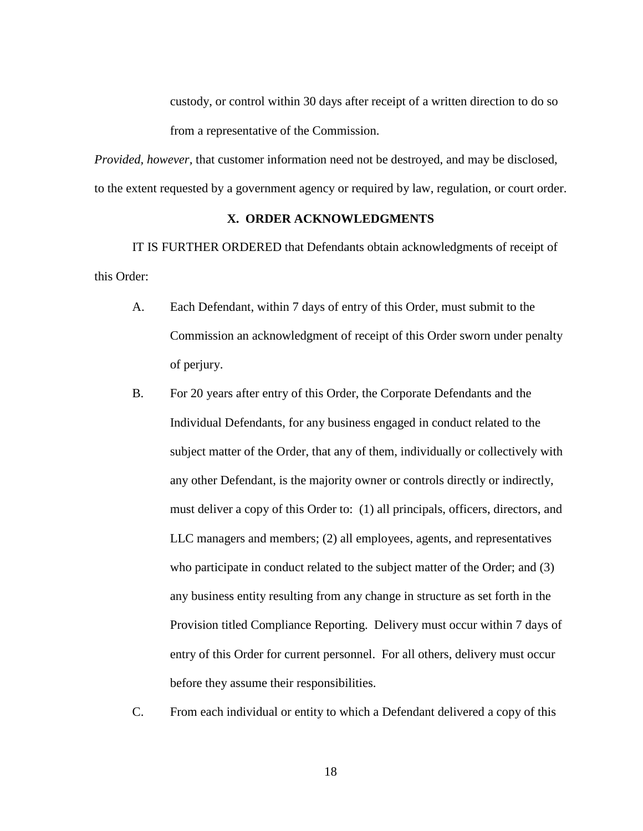from a representative of the Commission. custody, or control within 30 days after receipt of a written direction to do so

 to the extent requested by a government agency or required by law, regulation, or court order. *Provided, however,* that customer information need not be destroyed, and may be disclosed,

### **X. ORDER ACKNOWLEDGMENTS**

IT IS FURTHER ORDERED that Defendants obtain acknowledgments of receipt of this Order:

- A. Each Defendant, within 7 days of entry of this Order, must submit to the Commission an acknowledgment of receipt of this Order sworn under penalty of perjury.
- B. For 20 years after entry of this Order, the Corporate Defendants and the Individual Defendants, for any business engaged in conduct related to the subject matter of the Order, that any of them, individually or collectively with any other Defendant, is the majority owner or controls directly or indirectly, must deliver a copy of this Order to: (1) all principals, officers, directors, and LLC managers and members; (2) all employees, agents, and representatives who participate in conduct related to the subject matter of the Order; and (3) any business entity resulting from any change in structure as set forth in the Provision titled Compliance Reporting. Delivery must occur within 7 days of entry of this Order for current personnel. For all others, delivery must occur before they assume their responsibilities.
- C. From each individual or entity to which a Defendant delivered a copy of this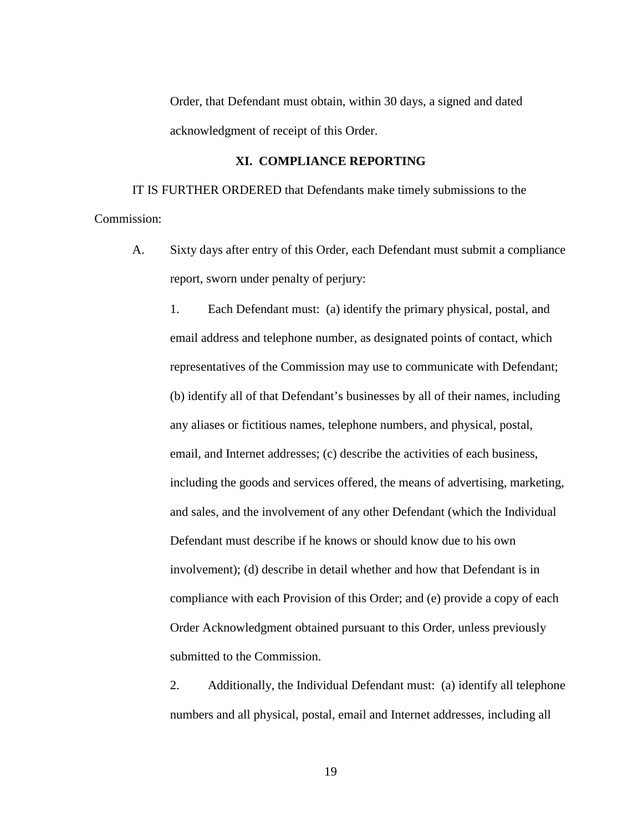Order, that Defendant must obtain, within 30 days, a signed and dated acknowledgment of receipt of this Order.

### **XI. COMPLIANCE REPORTING**

 IT IS FURTHER ORDERED that Defendants make timely submissions to the Commission:

A. Sixty days after entry of this Order, each Defendant must submit a compliance report, sworn under penalty of perjury:

 (b) identify all of that Defendant's businesses by all of their names, including and sales, and the involvement of any other Defendant (which the Individual involvement); (d) describe in detail whether and how that Defendant is in 1. Each Defendant must: (a) identify the primary physical, postal, and email address and telephone number, as designated points of contact, which representatives of the Commission may use to communicate with Defendant; any aliases or fictitious names, telephone numbers, and physical, postal, email, and Internet addresses; (c) describe the activities of each business, including the goods and services offered, the means of advertising, marketing, Defendant must describe if he knows or should know due to his own compliance with each Provision of this Order; and (e) provide a copy of each Order Acknowledgment obtained pursuant to this Order, unless previously submitted to the Commission.

2. Additionally, the Individual Defendant must: (a) identify all telephone numbers and all physical, postal, email and Internet addresses, including all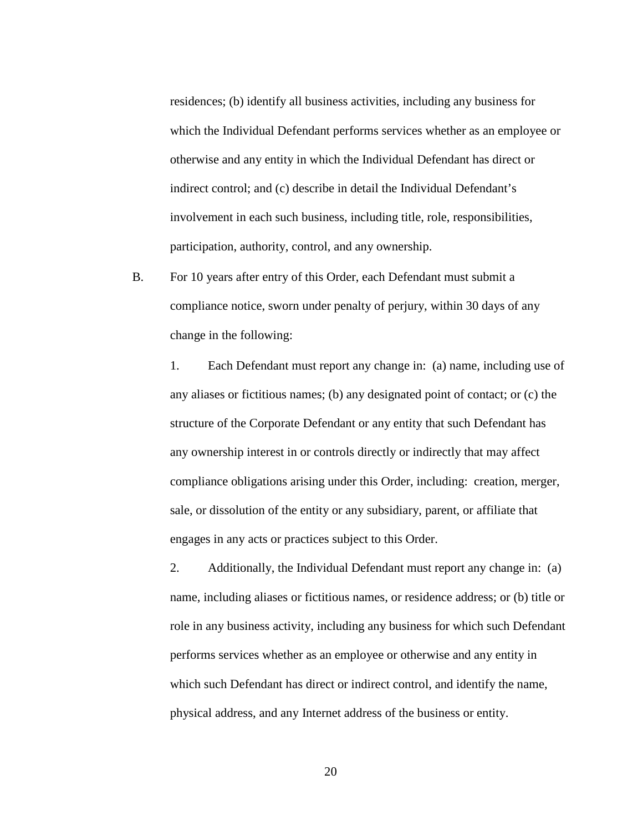which the Individual Defendant performs services whether as an employee or otherwise and any entity in which the Individual Defendant has direct or residences; (b) identify all business activities, including any business for indirect control; and (c) describe in detail the Individual Defendant's involvement in each such business, including title, role, responsibilities, participation, authority, control, and any ownership.

B. For 10 years after entry of this Order, each Defendant must submit a compliance notice, sworn under penalty of perjury, within 30 days of any change in the following:

 1. Each Defendant must report any change in: (a) name, including use of any aliases or fictitious names; (b) any designated point of contact; or (c) the sale, or dissolution of the entity or any subsidiary, parent, or affiliate that structure of the Corporate Defendant or any entity that such Defendant has any ownership interest in or controls directly or indirectly that may affect compliance obligations arising under this Order, including: creation, merger, engages in any acts or practices subject to this Order.

 name, including aliases or fictitious names, or residence address; or (b) title or 2. Additionally, the Individual Defendant must report any change in: (a) role in any business activity, including any business for which such Defendant performs services whether as an employee or otherwise and any entity in which such Defendant has direct or indirect control, and identify the name, physical address, and any Internet address of the business or entity.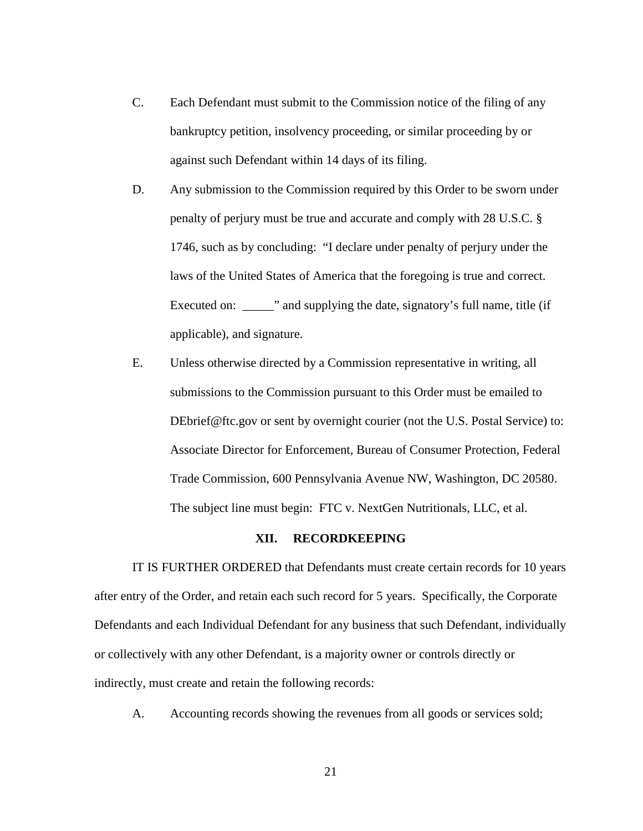- C. Each Defendant must submit to the Commission notice of the filing of any bankruptcy petition, insolvency proceeding, or similar proceeding by or against such Defendant within 14 days of its filing.
- laws of the United States of America that the foregoing is true and correct. D. Any submission to the Commission required by this Order to be sworn under penalty of perjury must be true and accurate and comply with 28 U.S.C. § 1746, such as by concluding: "I declare under penalty of perjury under the Executed on: \_\_\_\_\_\_\_" and supplying the date, signatory's full name, title (if applicable), and signature.
- DEbrief@ftc.gov or sent by overnight courier (not the U.S. Postal Service) to: Trade Commission, 600 Pennsylvania Avenue NW, Washington, DC 20580. E. Unless otherwise directed by a Commission representative in writing, all submissions to the Commission pursuant to this Order must be emailed to Associate Director for Enforcement, Bureau of Consumer Protection, Federal The subject line must begin: FTC v. NextGen Nutritionals, LLC, et al.

### **XII. RECORDKEEPING**

 IT IS FURTHER ORDERED that Defendants must create certain records for 10 years Defendants and each Individual Defendant for any business that such Defendant, individually after entry of the Order, and retain each such record for 5 years. Specifically, the Corporate or collectively with any other Defendant, is a majority owner or controls directly or indirectly, must create and retain the following records:

A. Accounting records showing the revenues from all goods or services sold;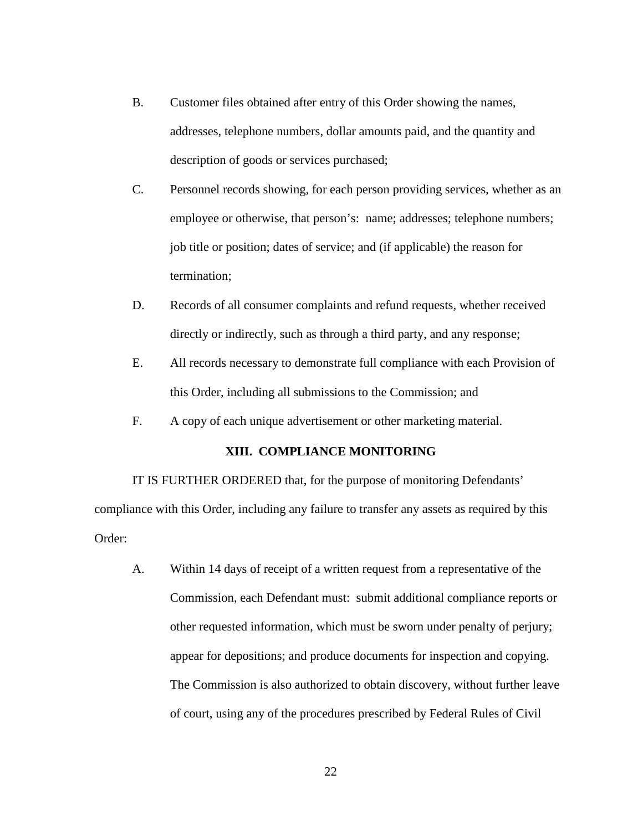- B. Customer files obtained after entry of this Order showing the names, addresses, telephone numbers, dollar amounts paid, and the quantity and description of goods or services purchased;
- C. Personnel records showing, for each person providing services, whether as an employee or otherwise, that person's: name; addresses; telephone numbers; job title or position; dates of service; and (if applicable) the reason for termination;
- D. Records of all consumer complaints and refund requests, whether received directly or indirectly, such as through a third party, and any response;
- E. All records necessary to demonstrate full compliance with each Provision of this Order, including all submissions to the Commission; and
- F. A copy of each unique advertisement or other marketing material.

### **XIII. COMPLIANCE MONITORING**

 compliance with this Order, including any failure to transfer any assets as required by this IT IS FURTHER ORDERED that, for the purpose of monitoring Defendants' Order:

 Commission, each Defendant must: submit additional compliance reports or appear for depositions; and produce documents for inspection and copying. A. Within 14 days of receipt of a written request from a representative of the other requested information, which must be sworn under penalty of perjury; The Commission is also authorized to obtain discovery, without further leave of court, using any of the procedures prescribed by Federal Rules of Civil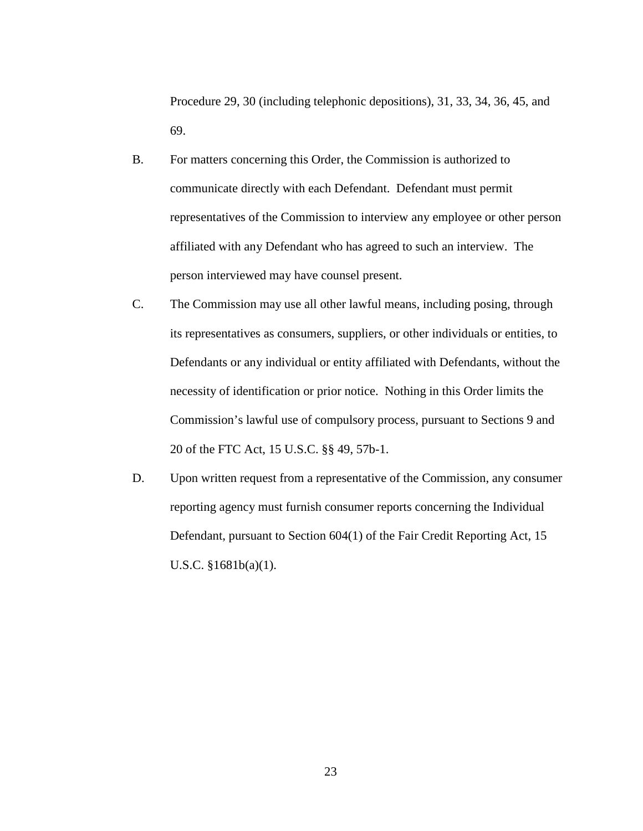Procedure 29, 30 (including telephonic depositions), 31, 33, 34, 36, 45, and 69.

- B. For matters concerning this Order, the Commission is authorized to communicate directly with each Defendant. Defendant must permit representatives of the Commission to interview any employee or other person affiliated with any Defendant who has agreed to such an interview. The person interviewed may have counsel present.
- C. The Commission may use all other lawful means, including posing, through its representatives as consumers, suppliers, or other individuals or entities, to Defendants or any individual or entity affiliated with Defendants, without the necessity of identification or prior notice. Nothing in this Order limits the Commission's lawful use of compulsory process, pursuant to Sections 9 and 20 of the FTC Act, 15 U.S.C. §§ 49, 57b-1.
- reporting agency must furnish consumer reports concerning the Individual Defendant, pursuant to Section 604(1) of the Fair Credit Reporting Act, 15 D. Upon written request from a representative of the Commission, any consumer U.S.C. §1681b(a)(1).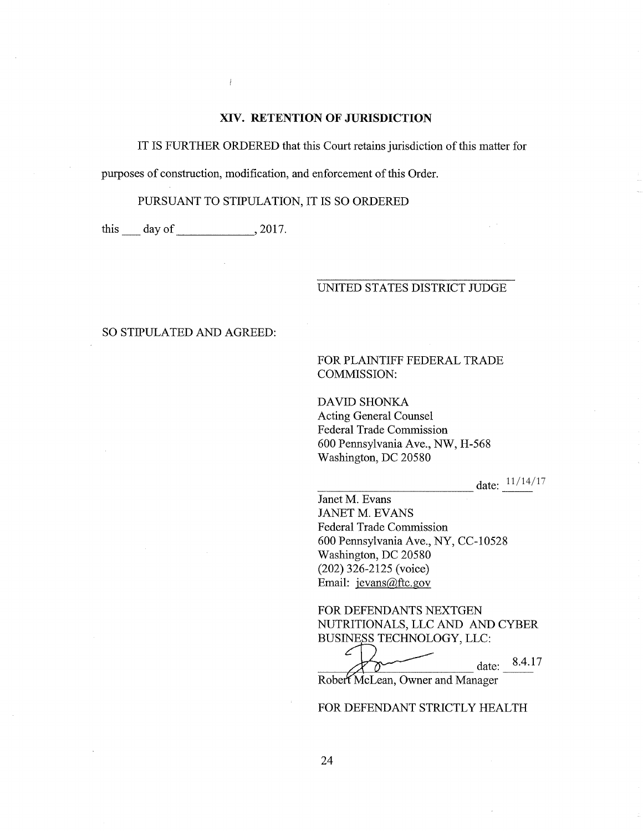### XIV. RETENTION OF JURISDICTION

IT IS FURTHER ORDERED that this Court retains jurisdiction of this matter for

purposes of construction, modification, and enforcement of this Order.

 $\bar{I}$ 

PURSUANT TO STIPULATION, IT IS SO ORDERED

this  $\_\_$  day of  $\_\_\_\_$ , 2017.

### UNITED STATES DISTRICT JUDGE

### SO STIPULATED AND AGREED:

FOR PLAINTIFF FEDERAL TRADE COMMISSION:

DAVID SHONKA Acting General Counsel Federal Trade Commission 600 Pennsylvania Ave., NW, H-568 Washington, DC 20580

date: 11/14/17

Janet M. Evans JANET M. EVANS Federal Trade Commission 600 Pennsylvania Ave., NY, CC-10528 Washington, DC 20580 (202) 326-2125 (voice) Email: jevans@ftc.gov

FOR DEFENDANTS NEXTGEN NUTRITIONALS, LLC AND AND CYBER BUSINESS TECHNOLOGY, LLC:

ے date: 8.4.17 Ō

Robert McLean, Owner and Manager

### FOR DEFENDANT STRICTLY HEALTH